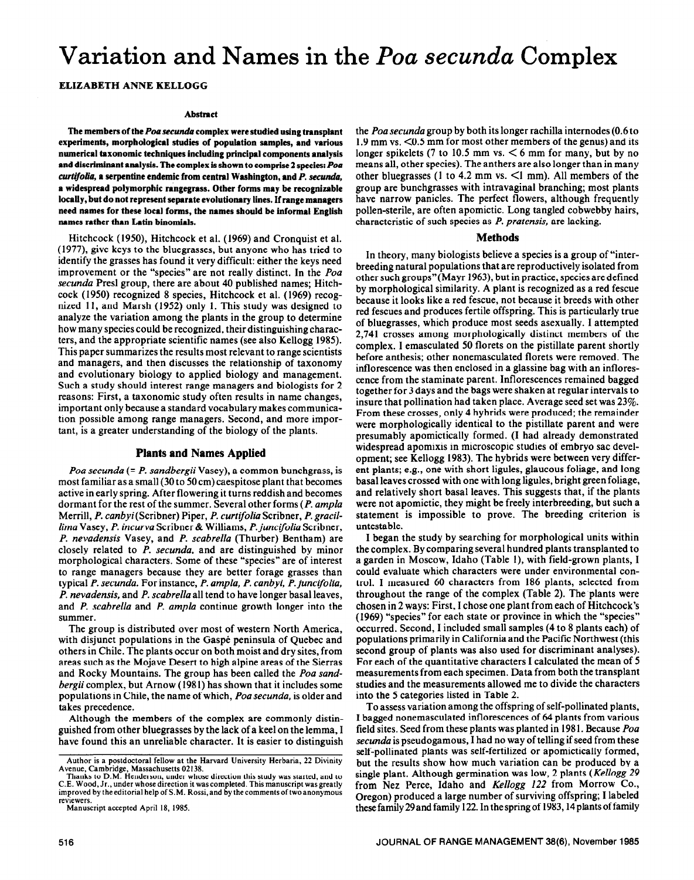# **Variation and Names in the** *Poa secunda* **Complex**

ELIZABETH ANNE KELLOGG

#### **Abstract**

**The members of the** Pea **secundo complex were studied udng transphtnt experiments, morphological studies of population samples, and various nmnericnl taxonomic techniques including principal components analysis**  and discriminant analysis. The complex is shown to comprise 2 species: Poa *curtifohz, a* **serpentine endemic from central Washington, and** *P. secundu,*  **a widespread polymorphic rangegrass. Other forms may be recognizable locally, but do not represent separate evolutionary lines.** If **range managers need names for these local forms, the names should be informal English names rather than Latin binomials.** 

Hitchcock (1950), Hitchcock et al. (1969) and Cronquist et al. (1977), give keys to the bluegrasses, but anyone who has tried to identify the grasses has found it very difficult: either the keys need improvement or the "species" are not really distinct. In the *Poa secundu* Presl group, there are about 40 published names; Hitchcock (1950) recognized 8 species, Hitchcock et al. (1969) recognized 11, and Marsh (1952) only 1. This study was designed to analyze the variation among the plants in the group to determine how many species could be recognized, their distinguishing characters, and the appropriate scientific names (see also Kellogg 1985). This paper summarizes the results most relevant to range scientists and managers, and then discusses the relationship of taxonomy and evolutionary biology to applied biology and management. Such a study should interest range managers and biologists for 2 reasons: First, a taxonomic study often results in name changes, important only because a standard vocabulary makes communication possible among range managers. Second, and more important, is a greater understanding of the biology of the plants.

#### **Plants and Names Applied**

*Poa secundu (= P. sundbergii* Vasey), a common bunchgrass, is most familiar as a small (30 to 50 cm) caespitose plant that becomes active in early spring. After flowering it turns reddish and becomes dormant for the rest of the summer. Several other forms *(P. amplu*  Merrill, *P.* cunbyi(Scribner) Piper, *P. curtifoliu* Scribner, *P. grucillima* Vasey, *P. incurvu* Scribner & Williams, *P. juncifoliu* Scribner, *P. nevudensis* Vasey, and *P. scubrellu* (Thurber) Bentham) are closely related to *P. secundu,* and are distinguished by minor morphological characters. Some of these "species" are of interest to range managers because they are better forage grasses than typical *P. secundu.* For instance, *P. umplu, P. cunbyi, P. juncifoliu, P. nevudensis,* and *P. scubrellu* all tend to have longer basal leaves, and *P. scubrellu* and *P. umplu* continue growth longer into the summer.

The group is distributed over most of western North America, with disjunct populations in the Gaspé peninsula of Quebec and others in Chile. The plants occur on both moist and dry sites, from areas such as the Mojave Desert to high alpine areas of the Sierras and Rocky Mountains. The group has been called the *Pou sundbergii* complex, but Arnow (1981) has shown that it includes some populations in Chile, the name of which, *Pou secundu,* is older and takes precedence.

Although the members of the complex are commonly distinguished from other bluegrasses by the lack of a keel on the lemma, I have found this an unreliable character. It is easier to distinguish the *Pou secundu* group by both its longer rachilla internodes (0.6 to 1.9 mm vs. <0.5 mm for most other members of the genus) and its longer spikelets (7 to 10.5 mm vs.  $<$  6 mm for many, but by no means all, other species). The anthers are also longer than in many other bluegrasses (1 to **4.2** mm vs. <I mm). All members of the group are bunchgrasses with intravaginal branching; most plants have narrow panicles. The perfect flowers, although frequently pollen-sterile, are often apomictic. Long tangled cobwebby hairs, characteristic of such species as *P. prutensis,* are lacking.

#### **Methods**

In theory, many biologists believe a species is a group of "interbreeding natural populations that are reproductively isolated from other such groups"(Mayr 1963), but in practice, species are defined by morphological similarity. A plant is recognized as a red fescue because it looks like a red fescue, not because it breeds with other red fescues and produces fertile offspring. This is particularly true of bluegrasses, which produce most seeds asexually. I attempted 2,741 crosses among morphologically distinct members of the complex. I emasculated 50 florets on the pistillate parent shortly before anthesis; other nonemasculated florets were removed. The inflorescence was then enclosed in a glassine bag with an inflorescence from the staminate parent. Inflorescences remained bagged together for 3 days and the bags were shaken at regular intervals to insure that pollination had taken place. Average seed set was 23%. From these crosses, only 4 hybrids were produced; the remainder were morphologically identical to the pistillate parent and were presumably apomictically formed. (I had already demonstrated widespread apomixis in microscopic studies of embryo sac development; see Kellogg 1983). The hybrids were between very different plants; e.g., one with short ligules, glaucous foliage, and long basal leaves crossed with one with long ligules, bright green foliage, and relatively short basal leaves. This suggests that, if the plants were not apomictic, they might be freely interbreeding, but such a statement is impossible to prove. The breeding criterion is untestable.

I began the study by searching for morphological units within the complex. By comparing several hundred plants transplanted to a garden in Moscow, Idaho (Table I), with field-grown plants, I could evaluate which characters were under environmental control. I measured 60 characters from 186 plants, selected from throughout the range of the complex (Table 2). The plants were chosen in 2 ways: First, I chose one plant from each of Hitchcock's (1969) "species" for each state or province in which the "species" occurred. Second, I included small samples (4 to 8 plants each) of populations primarily in California and the Pacific Northwest (this second group of plants was also used for discriminant analyses). For each of the quantitative characters I calculated the mean of 5 measurements from each specimen. Data from both the transplant studies and the measurements allowed me to divide the characters into the 5 categories listed in Table 2.

To assess variation among the offspring of self-pollinated plants, I bagged nonemasculated inflorescences of 64 plants from various field sites. Seed from these plants was planted in 198 1. Because *Pou secundu* is pseudogamous, I had no way of telling if seed from these self-pollinated plants was self-fertilized or apomictically formed, but the results show how much variation can be produced by a single plant. Although germination was low, 2 plants *(Kellogg 29 from Nez* Perce, Idaho and *Kellogg 122* from Morrow Co., Oregon) produced a large number of surviving offspring; I labeled these family 29 and family 122. In the spring of 1983,14 plants of family

Author is a postdoctoral fellow at the Harvard University Herbaria, 22 Divinity Avenue, Cambridge, Massachusetts 02138. Thanks to D.M. Henderson, under whose direction this study was started, and to

C.E. Wood, Jr., under whose direction it was completed. This manuscript was greatly improved by the editorial help of S.M. Rossi, and by the comments of two anonymous reviewers.

Manuscript accepted April 18, 1985.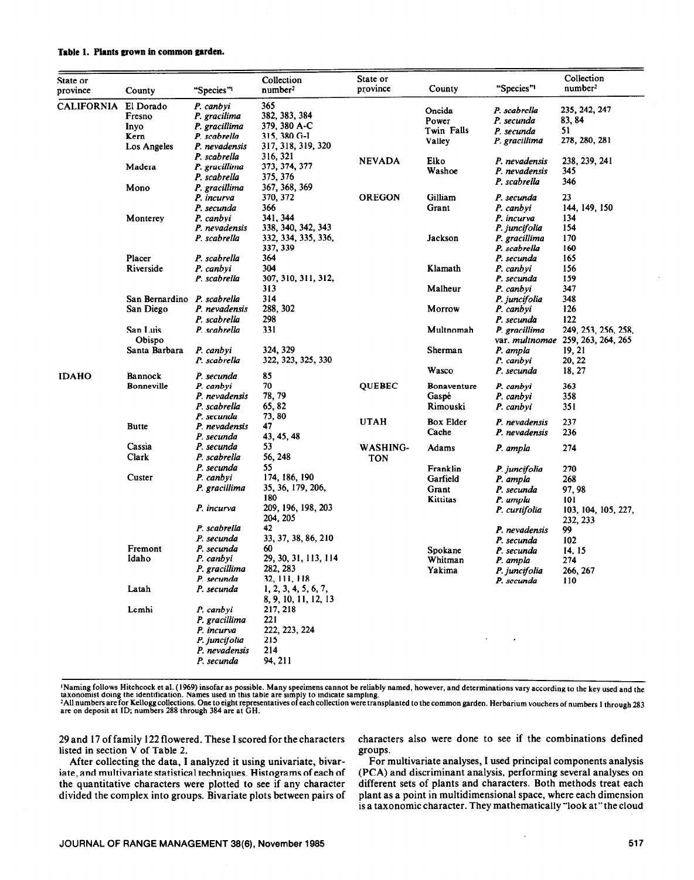| State or<br>province | County                      | "Species"     | Collection<br>number <sup>2</sup>            | State or<br>province | County             | "Species"             | Collection<br>number <sup>2</sup> |
|----------------------|-----------------------------|---------------|----------------------------------------------|----------------------|--------------------|-----------------------|-----------------------------------|
| <b>CALIFORNIA</b>    | El Dorado                   | P. canbyi     | 365                                          |                      | Oneida             | P. scabrella          | 235, 242, 247                     |
|                      | Fresno                      | P. gracilima  | 382, 383, 384                                |                      | Power              | P. secunda            | 83, 84                            |
|                      | Inyo                        | P. gracillima | 379, 380 A-C                                 |                      | Twin Falls         | P. secunda            | 51                                |
|                      | Kern                        | P. scabrella  | 315, 380 G-I                                 |                      | Valley             | P. gracillima         | 278, 280, 281                     |
|                      | Los Angeles                 | P. nevadensis | 317, 318, 319, 320                           |                      |                    |                       |                                   |
|                      |                             | P. scabrella  | 316, 321                                     | <b>NEVADA</b>        | Elko               | P. nevadensis         | 238, 239, 241                     |
|                      | Madera                      | P. gracillima | 373, 374, 377                                |                      | Washoe             | P. nevadensis         | 345                               |
|                      |                             | P. scabrella  | 375, 376                                     |                      |                    | P. scabrella          | 346                               |
|                      | Mono                        | P. gracillima | 367, 368, 369                                |                      |                    |                       |                                   |
|                      |                             | P. incurva    | 370, 372                                     | <b>OREGON</b>        | Gilliam            | P. secunda            | 23                                |
|                      |                             | P. secunda    | 366                                          |                      | Grant              | P. canbyi             | 144, 149, 150                     |
|                      | Monterey                    | P. canbyi     | 341, 344                                     |                      |                    | P. incurva            | 134                               |
|                      |                             | P. nevadensis | 338, 340, 342, 343                           |                      |                    | P. juncifolia         | 154                               |
|                      |                             | P. scabrella  | 332, 334, 335, 336,                          |                      | Jackson            | P. gracillima         | 170                               |
|                      |                             |               | 337, 339                                     |                      |                    | P. scabrella          | 160                               |
|                      | Placer                      | P. scabrella  | 364                                          |                      |                    | P. secunda            | 165                               |
|                      | Riverside                   | P. canbyi     | 304                                          |                      | Klamath            | P. canbyi             | 156                               |
|                      |                             | P. scabrella  | 307, 310, 311, 312,                          |                      |                    | P. secunda            | 159                               |
|                      |                             |               | 313                                          |                      | Malheur            | P. canbyi             | 347                               |
|                      | San Bernardino P. scabrella |               | 314                                          |                      |                    | P. juncifolia         | 348                               |
|                      | San Diego                   | P. nevadensis | 288, 302                                     |                      | Morrow             | P. canbyi             | 126                               |
|                      |                             | P. scabrella  | 298                                          |                      |                    | P. secunda            | 122                               |
|                      | San Luis                    | P. scabrella  | 331                                          |                      | Multnomah          | P. gracillima         | 249, 253, 256, 258,               |
|                      | Obispo                      |               |                                              |                      |                    | var. <i>multnomae</i> | 259, 263, 264, 265                |
|                      | Santa Barbara               | P. canbyi     | 324, 329                                     |                      | Sherman            | P. ampla              | 19, 21                            |
|                      |                             | P. scabrella  | 322, 323, 325, 330                           |                      |                    | P. canbyi             | 20, 22                            |
|                      |                             |               |                                              |                      | Wasco              | P. secunda            | 18, 27                            |
| <b>IDAHO</b>         | Bannock                     | P. secunda    | 85                                           |                      |                    |                       |                                   |
|                      | Bonneville                  | P. canbyi     | 70                                           | <b>OUEBEC</b>        | <b>Bonaventure</b> | P. canbyi             | 363                               |
|                      |                             | P. nevadensis | 78, 79                                       |                      | Gaspé              | P. canbyi             | 358                               |
|                      |                             | P. scabrella  | 65, 82                                       |                      | Rimouski           | P. canbyi             | 351                               |
|                      |                             | P. secunda    | 73,80                                        | <b>UTAH</b>          | <b>Box Elder</b>   | P. nevadensis         | 237                               |
|                      | <b>Butte</b>                | P. nevadensis | 47                                           |                      | Cache              | P. nevadensis         | 236                               |
|                      |                             | P. secunda    | 43, 45, 48                                   |                      |                    |                       |                                   |
|                      | Cassia                      | P. secunda    | 53                                           | <b>WASHING-</b>      | Adams              | P. ampla              | 274                               |
|                      | Clark                       | P. scabrella  | 56, 248                                      | <b>TON</b>           |                    |                       |                                   |
|                      |                             | P. secunda    | 55                                           |                      | Franklin           | P. juncifolia         | 270                               |
|                      | Custer                      | P. canbyi     | 174, 186, 190                                |                      | Garfield           | P. ampla              | 268                               |
|                      |                             | P. gracillima | 35, 36, 179, 206,                            |                      | Grant              | P. secunda            | 97, 98                            |
|                      |                             |               | 180                                          |                      | Kittitas           | P. ampla              | 101                               |
|                      |                             | P. incurva    | 209, 196, 198, 203                           |                      |                    | P. curtifolia         | 103, 104, 105, 227,               |
|                      |                             |               | 204, 205                                     |                      |                    |                       | 232, 233                          |
|                      |                             | P. scabrella  | 42                                           |                      |                    | P. nevadensis         | 99                                |
|                      |                             | P. secunda    | 33, 37, 38, 86, 210                          |                      |                    | P. secunda            | 102                               |
|                      | Fremont                     | P. secunda    | 60                                           |                      | Spokane            | P. secunda            | 14.15                             |
|                      | Idaho                       | P. canbyi     | 29, 30, 31, 113, 114                         |                      | Whitman            | P. ampla              | 274                               |
|                      |                             | P. gracillima | 282, 283                                     |                      | Yakima             | P. juncifolia         | 266, 267                          |
|                      |                             | P. secunda    | 32, 111, 118                                 |                      |                    | P. secunda            | 110                               |
|                      | Latah                       | P. secunda    | 1, 2, 3, 4, 5, 6, 7,<br>8, 9, 10, 11, 12, 13 |                      |                    |                       |                                   |
|                      | Lemhi                       | P. canbyi     | 217, 218                                     |                      |                    |                       |                                   |
|                      |                             | P. gracillima | 221                                          |                      |                    |                       |                                   |
|                      |                             | P. incurva    | 222, 223, 224                                |                      |                    |                       |                                   |
|                      |                             | P. juncifolia | 215                                          |                      |                    |                       |                                   |
|                      |                             | P. nevadensis | 214                                          |                      |                    |                       |                                   |
|                      |                             | P. secunda    | 94, 211                                      |                      |                    |                       |                                   |

#### **Table 1. Plants grown in common garden.**

'Naming follows Hitchcock et al. (1969) insofar as possible. Many specimens cannot be reliably named, however, and determinations vary according to the key used and the taxonomist doing the identification. Names used in this table are simply to indicate sampling.

<sup>2</sup>All numbers are for Kellogg collections. One to eight representatives of each collection were transplanted to the common garden. Herbarium vouchers of numbers 1 through 28.<br>are on deposit at ID; numbers 288 through 384

listed in section V of Table 2. groups.

After collecting the data, I analyzed it using univariate, bivar- For multivariate analyses, I used principal components analysis iate, and multivariate statistical techniques. Histograms of each of (PCA) and discriminant analysis, performing several analyses on divided the complex into groups. Bivariate plots between pairs of

29 and 17 of family 122 flowered. These I scored for the characters characters also were done to see if the combinations defined

the quantitative characters were plotted to see if any character different sets of plants and characters. Both methods treat each divided the complex into groups. Bivariate plots between pairs of plant as a point in multid is a taxonomic character. They mathematically "look at"the cloud

 $\cdot$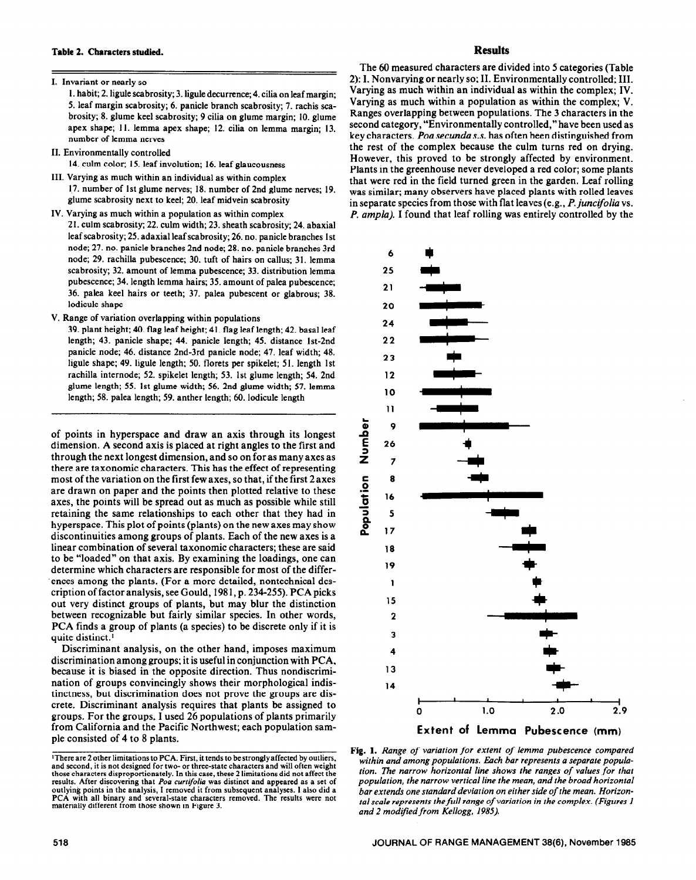#### **Table 2. Characters studied.**

**I. Invariant or nearly so** 

**1. habit; 2. ligule scabrosity; 3. ligule decurrence; 4. cilia on leaf margin; 5. leaf margin scabrosity; 6. panicle branch scabrosity; 7. rachis scabrosity; 8. glume keel scabrosity; 9 cilia on glume margin; 10. glume apex shape; 11. lemma apex shape; 12. cilia on lemma margin; 13. number of lemma nerves** 

**II. Environmentally controlled** 

**14. culm color; 15. leaf involution; 16. leaf glaucousness** 

- **III. Varying as much within an individual as within complex 17. number of 1st glume nerves; 18. number of 2nd glume nerves; 19. glume scabrosity next to keel; 20. leaf midvein scabrosity**
- **IV. Varying as much within a population as within complex 21. culm scabrosity; 22. culm width; 23. sheath scabrosity; 24. abaxial leaf scabrosity; 25. adaxial leaf scabrosity; 26. no. panicle branches 1st**  node; 27. no. panicle branches 2nd node; 28. no. panicle branches 3rd **node; 29. rachilla pubescence; 30. tuft of hairs on callus; 31. lemma scabrosity; 32. amount of lemma pubescence; 33. distribution lemma pubescence; 34. length lemma hairs; 35. amount of palea pubescence; 36. palea keel hairs or teeth; 37. palea pubescent or glabrous; 38. lodicule shape**
- **V.** Range of variation overlapping within population

**39. plant height; 40. flag leaf height; 41. flag leaf length; 42. basal leaf length; 43. panicle shape; 44. panicle length; 45. distance lst-2nd panicle node; 46. distance 2nd-3rd panicle node; 47. leaf width; 48. ligule shape; 49. ligule length; 50. florets per spikelet; 51. length 1st rachilla internode; 52. spikelet length; 53. 1st glume length; 54. 2nd glume length; 55. 1st glume width; 56. 2nd glume width; 57. lemma length; 58. palea length; 59. anther length; 60. lodicule length** 

of points in hyperspace and draw an axis through its longest dimension. A second axis is placed at right angles to the first and through the next longest dimension, and so on for as many axes as there are taxonomic characters. This has the effect of representing most of the variation on the first few axes, so that, if the first 2 axes are drawn on paper and the points then plotted relative to these axes, the points will be spread out as much as possible while still retaining the same relationships to each other that they had in hyperspace. This plot of points (plants) on the new axes may show discontinuities among groups of plants. Each of the new axes is a linear combination of several taxonomic characters; these are said to be "loaded" on that axis. By examining the loadings, one can determine which characters are responsible for most of the differences among the plants. (For a more detailed, nontechnical description of factor analysis, see Gould, 198 1, p. 234-255). PCA picks out very distinct groups of plants, but may blur the distinction between recognizable but fairly similar species. In other words, PCA finds a group of plants (a species) to be discrete only if it is quite distinct.<sup>1</sup>

Discriminant analysis, on the other hand, imposes maximum discrimination among groups; it is useful in conjunction with PCA, because it is biased in the opposite direction. Thus nondiscrimination of groups convincingly shows their morphological indistinctness, but discrimination does not prove the groups are discrete. Discriminant analysis requires that plants be assigned to groups. For the groups, I used 26 populations of plants primarily from California and the Pacific Northwest; each population sample consisted of 4 to 8 plants.

#### **Results**

The 60 measured characters are divided into 5 categories (Table 2): 1. Nonvarying or nearly so; II. Environmentally controlled; III. Varying as much within an individual as within the complex; IV. Varying as much within a population as within the complex; V. Ranges overlapping between populations. The 3 characters in the second category, "Environmentally controlled," have been used as key characters. *Poa secundas.s.* has often been distinguished from the rest of the complex because the culm turns red on drying. However, this proved to be strongly affected by environment. Plants in the greenhouse never developed a red color; some plants that were red in the field turned green in the garden. Leaf rolling was similar; many observers have placed plants with rolled leaves in separate species from those with flat leaves (e.g., *P. juncifolia vs. P. ampla).* I found that leaf rolling was entirely controlled by the



Fig. 1. Range of variation for extent of lemma pubescence compared within and among populations. Each bar represents a separate popula*tion. The narrow horizontal* **line** *shows the ranges of values for that population, the narrow vertical line the mean, and the broad horizontal bar extends one standard deviation on either side of rhe mean. Horizontal scale represents the full range of variation in rhe complex. (Figures 1 and 2 modifiedfrom Kellogg, 1985).* 

**<sup>&#</sup>x27;There are 2 other limitations to PCA. First, it tends to bestronglyaffected by outliers, and second, it is not designed for two- or three-state characters and will often weight those characters disproportionately. In this case, these 2 limitations did not affect the results. After discovering that** *Pou curtifolia was* **distinct and appeared as a set of outlying points in the analysis, I removed it from subsequent analyses. I also did a PCA with all binary and several-state characters removed. The results were not materially different from those shown in Figure 3.**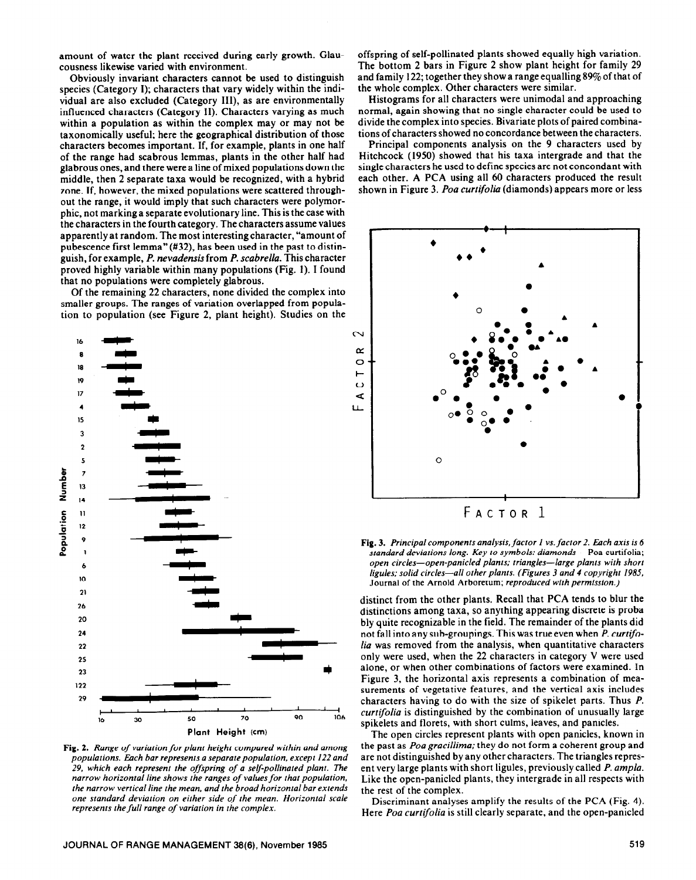amount of water the plant received during early growth. Glaucousness likewise varied with environment.

Obviously invariant characters cannot be used to distinguish species (Category 1); characters that vary widely within the individual are also excluded (Category III), as are environmentally influenced characters (Category 11). Characters varying as much within a population as within the complex may or may not be taxonomically useful; here the geographical distribution of those characters becomes important. If, for example, plants in one half of the range had scabrous lemmas, plants in the other half had glabrous ones, and there were a line of mixed populations down the middle, then 2 separate taxa would be recognized, with a hybrid zone. If, however, the mixed populations were scattered throughout the range, it would imply that such characters were polymorphic, not marking a separate evolutionary line. This is the case with the characters in the fourth category. The characters assume values apparently **at** random. The most interestingcharacter,"amount of pubescence first lemma"(#32), has been used in the past to distinguish, for example, *P. nevadensis* from *P. scabrella.* This character proved highly variable within many populations (Fig. 1). I found that no populations were completely glabrous.

Of the remaining 22 characters, none divided the complex into smaller groups. The ranges of variation overlapped from population to population (see Figure 2, plant height). Studies on the



*populations. Each bar represents a separate population, except 122 and narrow horizontal line shows the ranges of values for that population. the narrow vertical line the mean, and the broad horizontal bar extends one standard deviation on either side of the mean. Horizontal scale represents the full range of variation in the complex.* 

offspring of self-pollinated plants showed equally high variation. The bottom 2 bars in Figure 2 show plant height for family 29 and family 122; together they show a range equalling 89% of that of the whole complex. Other characters were similar.

Histograms for all characters were unimodal and approaching normal, again showing that no single character could be used to divide the complex into species. Bivariate plots of paired combinations of characters showed no concordance between the characters.

Principal components analysis on the 9 characters used by Hitchcock (1950) showed that his taxa intergrade and that the single characters he used to define species are not concondant with each other. A PCA using all 60 characters produced the result shown in Figure 3. *Poa curtifoliu* (diamonds) appears more or less



**Fig. 3.** *Principal components analysis. factor I vs. factor 2. Each axis is 6 standard deviations long. Key 10 symbols: diamonds-* **Poa** curtifolia; *open circles-open-panicled plants; triangles-large plants with short*  ligules; solid circles-all other plants. (Figures 3 and 4 copyright 1985, **Journal of the Arnold Arboretum;** *reproduced wirh permission.)* 

distinct from the other plants. Recall that PCA tends to blur the distinctions among taxa, so anything appearing discrete is proba bly quite recognizable in the field. The remainder of the plants did not fall into any sub-groupings. This was true even when *P. currifolia* was removed from the analysis, when quantitative characters only were used, when the 22 characters in category V were used alone, or when other combinations of factors were examined. In Figure 3, the horizontal axis represents a combination of measurements of vegetative features, and the vertical axis includes characters having to do with the size of spikelet parts. Thus *P. curtifolia* is distinguished by the combination of unusually large spikelets and florets, with short culms, leaves, and panicles.

The open circles represent plants with open panicles, known in **Fig. 2.** Range of variation for plant height compared within and among the past as *Poa gracillima*; they do not form a coherent group and populations. Each bar represents a separate population, except 122 and are not dis **29,** *which each represent the offspring of a self-pollinated plant. The ent* very large plants with short ligules, previously called *P. ampla.*  Like the open-panicled plants, they intergrade in all respects with the rest of the complex.

Discriminant analyses amplify the results of the PCA (Fig. 4). Here *Poa curtifolia* is still clearly separate, and the open-panicled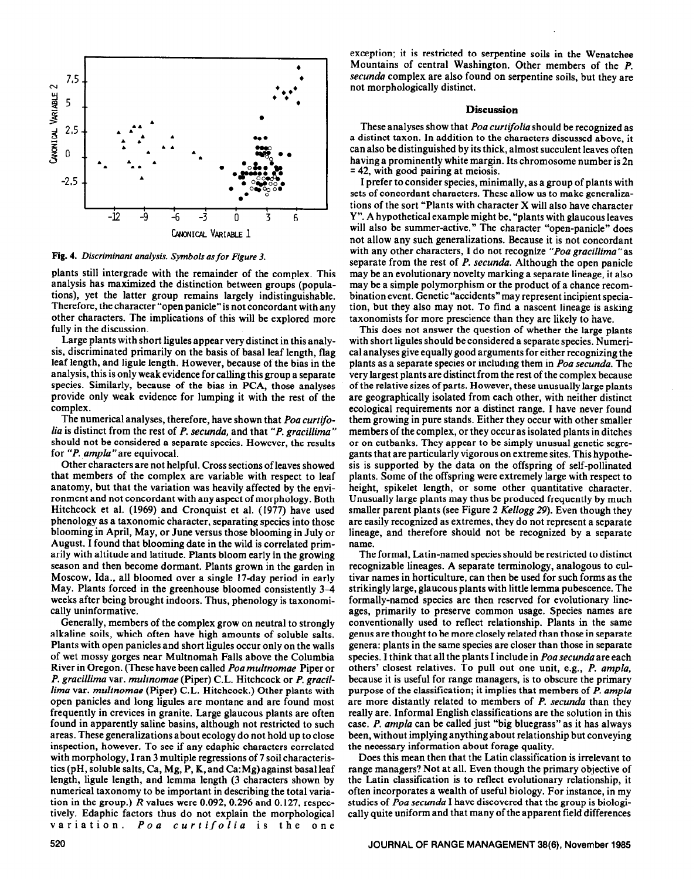

**Fig. 4.** *Discriminant analysis. Symbols as for Figure 3.* 

plants still intergrade with the remainder of the complex. This analysis has maximized the distinction between groups (populations), yet the latter group remains largely indistinguishable. Therefore, the character "open panicle"is not concordant with any other characters. The implications of this will be explored more fully in the discussion.

Large plants with short ligules appear very distinct in this analysis, discriminated primarily on the basis of basal leaf length, flag leaf length, and ligule length. However, because of the bias in the analysis, this is only weak evidence for calling this group a separate species. Similarly, because of the bias in PCA, those analyses provide only weak evidence for lumping it with the rest of the complex.

The numerical analyses, therefore, have shown that *Poa curtifolia* is distinct from the rest of *P. secunda,* and that *"P. gracillima"*  should not be considered a separate species. However, the results for "P. *ampla*" are equivocal.

Other characters are not helpful. Cross sections of leaves showed that members of the complex are variable with respect to leaf anatomy, but that the variation was heavily affected by the environment and not concordant with any aspect of morphology. Both Hitchcock et al. (1969) and Cronquist et al. (1977) have used phenology as a taxonomic character, separating species into those blooming in April, May, or June versus those blooming in July or August. I found that blooming date in the wild is correlated primarily with altitude and latitude. Plants bloom early in the growing season and then become dormant. Plants grown in the garden in Moscow, Ida., all bloomed over a single 17-day period in early May. Plants forced in the greenhouse bloomed consistently 3-4 weeks after being brought indoors. Thus, phenology is taxonomically uninformative.

Generally, members of the complex grow on neutral to strongly alkaline soils, which often have high amounts of soluble salts. Plants with open panicles and short ligules occur only on the walls of wet mossy gorges near Multnomah Falls above the Columbia River in Gregon. (These have been called *Poa multnomae* Piper or *P. gracillima* var. *multnomae* (Piper) C.L. Hitchcock or *P. gracillima* var. *multnomae* (Piper) C.L. Hitchcock.) Other plants with open panicles and long ligules are montane and are found most frequently in crevices in granite. Large glaucous plants are often found in apparently saline basins, although not restricted to such areas. These generalizations about ecology do not hold up to close inspection, however. To see if any edaphic characters correlated with morphology, I ran 3 multiple regressions of 7 soil characteristics (pH, soluble salts, Ca, Mg, P, K, and Ca:Mg) against basal leaf length, ligule length, and lemma length (3 characters shown by numerical taxonomy to be important in describing the total variation in the group.) *R* values were 0.092, 0.296 and 0.127, respectively. Edaphic factors thus do not explain the morphological variation. *Poa curtifolia* is the one

exception; it is restricted to serpentine soils in the Wenatchee Mountains of central Washington. Other members of the P. *secunda* complex are also found on serpentine soils, but they are not morphologically distinct.

#### **Discussion**

These analyses show that *Poa curtifolia* should be recognized as a distinct taxon. In addition to the characters discussed above, it can also be distinguished by its thick, almost succulent leaves often having a prominently white margin. Its chromosome number is 2n  $= 42$ , with good pairing at meiosis.

I prefer to consider species, minimally, as a group of plants with sets of concordant characters. These allow us to make generalizations of the sort "Plants with character X will also have character Y". A hypothetical example might be, "plants with glaucous leaves will also be summer-active." The character "open-panicle" does not allow any such generalizations. Because it is not concordant with any other characters, I do not recognize *"Poa gracillima"as*  separate from the rest of *P. secunda.* Although the open panicle may be an evolutionary novelty marking a separate lineage, it also may be a simple polymorphism or the product of a chance recombination event. Genetic **"accidents" may** represent incipient speciation, but they also may not. To find a nascent lineage is asking taxonomists for more prescience than they are likely to have.

This does not answer the question of whether the large plants with short ligules should be considered a separate species. Numerical analyses give equally good arguments for either recognizing the plants as a separate species or including them in *Poa secunda.* The very largest plants are distinct from the rest of the complex because of the relative sizes of parts. However, these unusually large plants are geographically isolated from each other, with neither distinct ecological requirements nor a distinct range. I have never found them growing in pure stands. Either they occur with other smaller members of the complex, or they occur as isolated plants in ditches or on cutbanks. They appear to be simply unusual genetic segregants that are particularly vigorous on extreme sites. This hypothesis is supported by the data on the offspring of self-pollinated plants. Some of the offspring were extremely large with respect to height, spikelet length, or some other quantitative character. Unusually large plants may thus be produced frequently by much smaller parent plants (see Figure 2 *Kellogg 29).* Even though they are easily recognized as extremes, they do not represent a separate lineage, and therefore should not be recognized by a separate name.

The formal, Latin-named species should be restricted to distinct recognizable lineages. A separate terminology, analogous to cultivar names in horticulture, can then be used for such forms as the strikingly large, glaucous plants with little lemma pubescence. The formally-named species are then reserved for evolutionary lineages, primarily to preserve common usage. Species names are conventionally used to reflect relationship. Plants in the same genus are thought to be more closely related than those in separate genera: plants in the same species are closer than those in separate species. I think that all the plants I include in *Poa secundaare* each others' closest relatives. To pull out one unit, e.g., *P. ampla,*  because it is useful for range managers, is to obscure the primary purpose of the classification; it implies that members of *P. ampla*  **are** more distantly related to members of *P. secunda* than they really are. Informal English classifications are the solution in this case. *P. ampla* can be called just "big bluegrass" as it has always been, without implying anything about relationship but conveying the necessary information about forage quality.

Does this mean then that the Latin classification is irrelevant to range managers? Not at all. Even though the primary objective of the Latin classification is to reflect evolutionary relationship, it often incorporates a wealth of useful biology. For instance, in my studies of *Poa secunda* I have discovered that the group is biologically quite uniform and that many of the apparent field differences